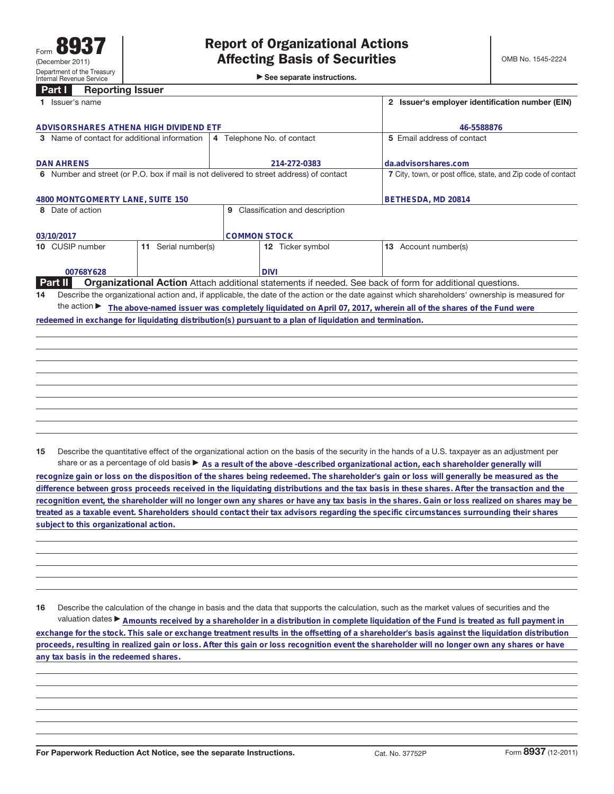| Part I<br><b>Reporting Issuer</b>                                                       |  |                            |                                                                                                         |                                                                                                                                                 |
|-----------------------------------------------------------------------------------------|--|----------------------------|---------------------------------------------------------------------------------------------------------|-------------------------------------------------------------------------------------------------------------------------------------------------|
| Issuer's name                                                                           |  |                            |                                                                                                         | 2 Issuer's employer identification number (EIN)                                                                                                 |
|                                                                                         |  |                            |                                                                                                         |                                                                                                                                                 |
| ADVISORSHARES ATHENA HIGH DIVIDEND ETF                                                  |  |                            |                                                                                                         | 46-5588876                                                                                                                                      |
| Name of contact for additional information<br>3                                         |  | 4 Telephone No. of contact |                                                                                                         | 5 Email address of contact                                                                                                                      |
|                                                                                         |  |                            |                                                                                                         |                                                                                                                                                 |
| <b>DAN AHRENS</b>                                                                       |  | 214-272-0383               |                                                                                                         | da.advisorshares.com                                                                                                                            |
| 6 Number and street (or P.O. box if mail is not delivered to street address) of contact |  |                            |                                                                                                         | 7 City, town, or post office, state, and Zip code of contact                                                                                    |
|                                                                                         |  |                            |                                                                                                         |                                                                                                                                                 |
| 4800 MONTGOMERTY LANE, SUITE 150                                                        |  |                            |                                                                                                         | BETHESDA, MD 20814                                                                                                                              |
| 8 Date of action<br>9 Classification and description                                    |  |                            |                                                                                                         |                                                                                                                                                 |
|                                                                                         |  |                            |                                                                                                         |                                                                                                                                                 |
| <b>COMMON STOCK</b><br>03/10/2017                                                       |  |                            |                                                                                                         |                                                                                                                                                 |
| CUSIP number<br>Serial number(s)<br>11                                                  |  | <b>12</b> Ticker symbol    |                                                                                                         | Account number(s)<br>13                                                                                                                         |
|                                                                                         |  |                            |                                                                                                         |                                                                                                                                                 |
| 00768Y628                                                                               |  |                            | <b>DIVI</b>                                                                                             |                                                                                                                                                 |
| Part II                                                                                 |  |                            |                                                                                                         | <b>Organizational Action</b> Attach additional statements if needed. See back of form for additional questions.                                 |
| 14                                                                                      |  |                            |                                                                                                         | Describe the organizational action and, if applicable, the date of the action or the date against which shareholders' ownership is measured for |
| the action $\blacktriangleright$                                                        |  |                            |                                                                                                         | The above-named issuer was completely liquidated on April 07, 2017, wherein all of the shares of the Fund were                                  |
|                                                                                         |  |                            | redeemed in exchange for liquidating distribution(s) pursuant to a plan of liquidation and termination. |                                                                                                                                                 |
|                                                                                         |  |                            |                                                                                                         |                                                                                                                                                 |
|                                                                                         |  |                            |                                                                                                         |                                                                                                                                                 |
|                                                                                         |  |                            |                                                                                                         |                                                                                                                                                 |
|                                                                                         |  |                            |                                                                                                         |                                                                                                                                                 |
|                                                                                         |  |                            |                                                                                                         |                                                                                                                                                 |
|                                                                                         |  |                            |                                                                                                         |                                                                                                                                                 |

**15** Describe the quantitative effect of the organizational action on the basis of the security in the hands of a U.S. taxpayer as an adjustment per share or as a percentage of old basis  $\blacktriangleright$  As a result of the above -described organizational action, each shareholder generally will

**recognize gain or loss on the disposition of the shares being redeemed. The shareholder's gain or loss will generally be measured as the difference between gross proceeds received in the liquidating distributions and the tax basis in these shares. After the transaction and the recognition event, the shareholder will no longer own any shares or have any tax basis in the shares. Gain or loss realized on shares may be treated as a taxable event. Shareholders should contact their tax advisors regarding the specific circumstances surrounding their shares subject to this organizational action.**

**16** Describe the calculation of the change in basis and the data that supports the calculation, such as the market values of securities and the valuation dates ▶ Amounts received by a shareholder in a distribution in complete liquidation of the Fund is treated as full payment in **exchange for the stock. This sale or exchange treatment results in the offsetting of a shareholder's basis against the liquidation distribution proceeds, resulting in realized gain or loss. After this gain or loss recognition event the shareholder will no longer own any shares or have any tax basis in the redeemed shares.**